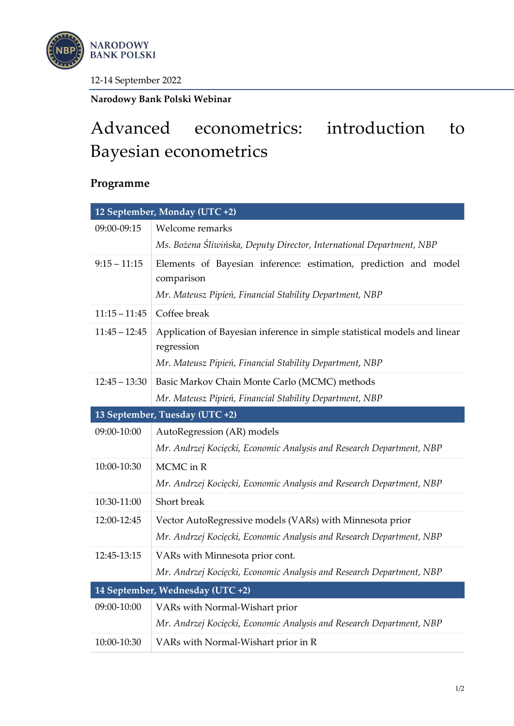

12-14 September 2022

Narodowy Bank Polski Webinar

## Advanced econometrics: introduction to Bayesian econometrics

## Programme

| 12 September, Monday (UTC +2)  |                                                                                         |
|--------------------------------|-----------------------------------------------------------------------------------------|
| 09:00-09:15                    | Welcome remarks                                                                         |
|                                | Ms. Bożena Śliwińska, Deputy Director, International Department, NBP                    |
| $9:15 - 11:15$                 | Elements of Bayesian inference: estimation, prediction and model                        |
|                                | comparison                                                                              |
|                                | Mr. Mateusz Pipień, Financial Stability Department, NBP                                 |
| $11:15 - 11:45$                | Coffee break                                                                            |
| $11:45 - 12:45$                | Application of Bayesian inference in simple statistical models and linear<br>regression |
|                                | Mr. Mateusz Pipień, Financial Stability Department, NBP                                 |
| $12:45 - 13:30$                | Basic Markov Chain Monte Carlo (MCMC) methods                                           |
|                                | Mr. Mateusz Pipień, Financial Stability Department, NBP                                 |
| 13 September, Tuesday (UTC +2) |                                                                                         |
| 09:00-10:00                    | AutoRegression (AR) models                                                              |
|                                | Mr. Andrzej Kocięcki, Economic Analysis and Research Department, NBP                    |
| 10:00-10:30                    | MCMC in R                                                                               |
|                                | Mr. Andrzej Kocięcki, Economic Analysis and Research Department, NBP                    |
| 10:30-11:00                    | Short break                                                                             |
| 12:00-12:45                    | Vector AutoRegressive models (VARs) with Minnesota prior                                |
|                                |                                                                                         |
|                                | Mr. Andrzej Kocięcki, Economic Analysis and Research Department, NBP                    |
| 12:45-13:15                    | VARs with Minnesota prior cont.                                                         |
|                                | Mr. Andrzej Kocięcki, Economic Analysis and Research Department, NBP                    |
|                                | 14 September, Wednesday (UTC +2)                                                        |
| 09:00-10:00                    | VARs with Normal-Wishart prior                                                          |
|                                | Mr. Andrzej Kocięcki, Economic Analysis and Research Department, NBP                    |